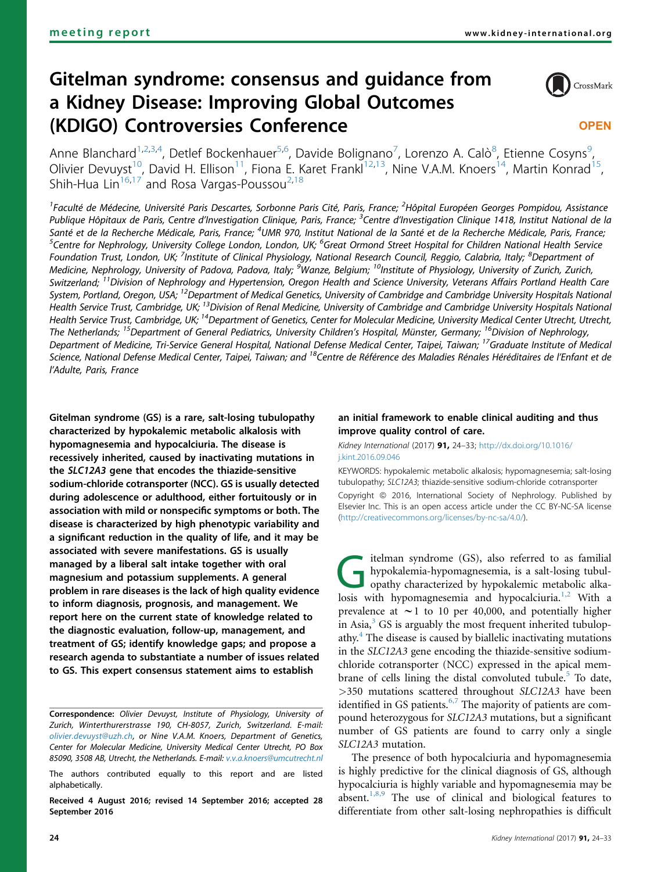# Gitelman syndrome: consensus and guidance from a Kidney Disease: Improving Global Outcomes (KDIGO) Controversies Conference



**OPEN** 

Anne Blanchard<sup>1,2,3,4</sup>, Detlef Bockenhauer<sup>5,6</sup>, Davide Bolignano<sup>7</sup>, Lorenzo A. Calò<sup>8</sup>, Etienne Cosyns<sup>9</sup> , Olivier Devuyst<sup>10</sup>, David H. Ellison<sup>11</sup>, Fiona E. Karet Frankl<sup>12,13</sup>, Nine V.A.M. Knoers<sup>14</sup>, Martin Konrad<sup>15</sup>, Shih-Hua Lin<sup>16,17</sup> and Rosa Vargas-Poussou<sup>2,18</sup>

<sup>1</sup>Faculté de Médecine, Université Paris Descartes, Sorbonne Paris Cité, Paris, France; <sup>2</sup>Hôpital Européen Georges Pompidou, Assistance Publique Hôpitaux de Paris, Centre d'Investigation Clinique, Paris, France; <sup>3</sup>Centre d'Investigation Clinique 1418, Institut National de la Santé et de la Recherche Médicale, Paris, France; <sup>4</sup>UMR 970, Institut National de la Santé et de la Recherche Médicale, Paris, France;<br><sup>5</sup>Centre for Nephrelogy, University College London, London, UK: <sup>6</sup>Great Ormond Stree Centre for Nephrology, University College London, London, UK; <sup>6</sup>Great Ormond Street Hospital for Children National Health Service Foundation Trust, London, UK; <sup>7</sup>Institute of Clinical Physiology, National Research Council, Reggio, Calabria, Italy; <sup>8</sup>Department of Medicine, Nephrology, University of Padova, Padova, Italy; <sup>9</sup>Wanze, Belgium; <sup>10</sup>Institute of Physiology, University of Zurich, Zurich, Switzerland; <sup>11</sup>Division of Nephrology and Hypertension, Oregon Health and Science University, Veterans Affairs Portland Health Care System, Portland, Oregon, USA; <sup>12</sup>Department of Medical Genetics, University of Cambridge and Cambridge University Hospitals National Health Service Trust, Cambridge, UK; <sup>13</sup>Division of Renal Medicine, University of Cambridge and Cambridge University Hospitals National Health Service Trust, Cambridge, UK; <sup>14</sup>Department of Genetics, Center for Molecular Medicine, University Medical Center Utrecht, Utrecht, The Netherlands; <sup>15</sup>Department of General Pediatrics, University Children's Hospital, Münster, Germany; <sup>16</sup>Division of Nephrology, Department of Medicine, Tri-Service General Hospital, National Defense Medical Center, Taipei, Taiwan; <sup>17</sup>Graduate Institute of Medical Science, National Defense Medical Center, Taipei, Taiwan; and <sup>18</sup>Centre de Référence des Maladies Rénales Héréditaires de l'Enfant et de l'Adulte, Paris, France

Gitelman syndrome (GS) is a rare, salt-losing tubulopathy characterized by hypokalemic metabolic alkalosis with hypomagnesemia and hypocalciuria. The disease is recessively inherited, caused by inactivating mutations in the SLC12A3 gene that encodes the thiazide-sensitive sodium-chloride cotransporter (NCC). GS is usually detected during adolescence or adulthood, either fortuitously or in association with mild or nonspecific symptoms or both. The disease is characterized by high phenotypic variability and a significant reduction in the quality of life, and it may be associated with severe manifestations. GS is usually managed by a liberal salt intake together with oral magnesium and potassium supplements. A general problem in rare diseases is the lack of high quality evidence to inform diagnosis, prognosis, and management. We report here on the current state of knowledge related to the diagnostic evaluation, follow-up, management, and treatment of GS; identify knowledge gaps; and propose a research agenda to substantiate a number of issues related to GS. This expert consensus statement aims to establish

Received 4 August 2016; revised 14 September 2016; accepted 28 September 2016

# an initial framework to enable clinical auditing and thus improve quality control of care.

Kidney International (2017) 91, 24–33; [http://dx.doi.org/10.1016/](http://dx.doi.org/10.1016/j.kint.2016.09.046) [j.kint.2016.09.046](http://dx.doi.org/10.1016/j.kint.2016.09.046)

KEYWORDS: hypokalemic metabolic alkalosis; hypomagnesemia; salt-losing tubulopathy; SLC12A3; thiazide-sensitive sodium-chloride cotransporter Copyright @ 2016, International Society of Nephrology. Published by Elsevier Inc. This is an open access article under the CC BY-NC-SA license [\(http://creativecommons.org/licenses/by-nc-sa/4.0/](http://creativecommons.org/licenses/by-nc-sa/4.0/)).

itelman syndrome (GS), also referred to as familial<br>hypokalemia-hypomagnesemia, is a salt-losing tubul-<br>opathy characterized by hypokalemic metabolic alka-<br>losis with hypomagnesemia, and hypocalciuria  $^{1,2}$ . With a hypokalemia-hypomagnesemia, is a salt-losing tubul-losis with hypomagnesemia and hypocalciuria.<sup>[1,2](#page-7-0)</sup> With a prevalence at  $\sim$ 1 to 10 per 40,000, and potentially higher in Asia, $3$  GS is arguably the most frequent inherited tubulopathy.[4](#page-7-0) The disease is caused by biallelic inactivating mutations in the SLC12A3 gene encoding the thiazide-sensitive sodiumchloride cotransporter (NCC) expressed in the apical membrane of cells lining the distal convoluted tubule. $5$  To date, >350 mutations scattered throughout SLC12A3 have been identified in GS patients. $6,7$  The majority of patients are compound heterozygous for SLC12A3 mutations, but a significant number of GS patients are found to carry only a single SLC12A3 mutation.

The presence of both hypocalciuria and hypomagnesemia is highly predictive for the clinical diagnosis of GS, although hypocalciuria is highly variable and hypomagnesemia may be absent.<sup>[1,8,9](#page-7-0)</sup> The use of clinical and biological features to differentiate from other salt-losing nephropathies is difficult

Correspondence: Olivier Devuyst, Institute of Physiology, University of Zurich, Winterthurerstrasse 190, CH-8057, Zurich, Switzerland. E-mail: [olivier.devuyst@uzh.ch](mailto:olivier.devuyst@uzh.ch), or Nine V.A.M. Knoers, Department of Genetics, Center for Molecular Medicine, University Medical Center Utrecht, PO Box 85090, 3508 AB, Utrecht, the Netherlands. E-mail: [v.v.a.knoers@umcutrecht.nl](mailto:v.v.a.knoers@umcutrecht.nl)

The authors contributed equally to this report and are listed alphabetically.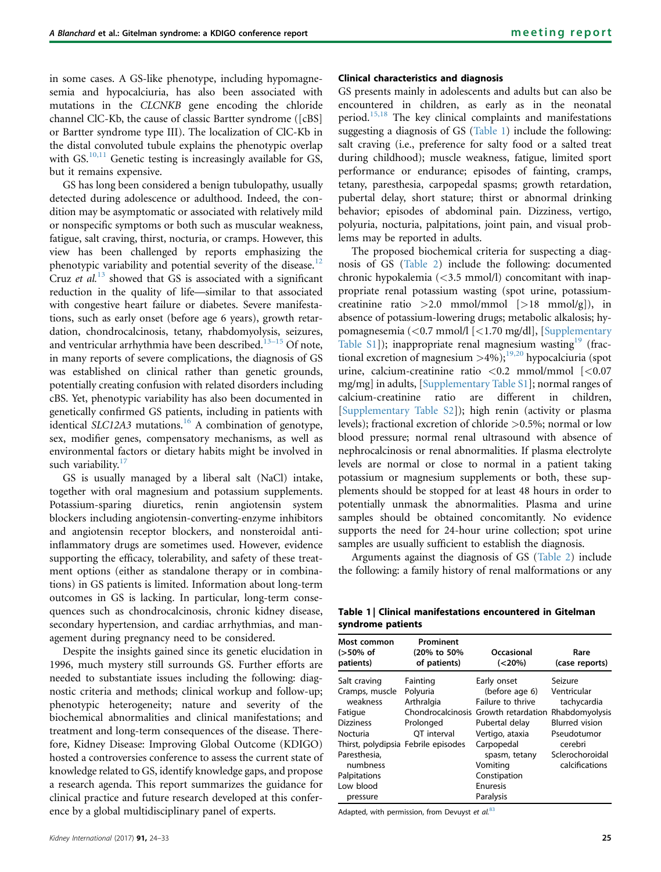<span id="page-1-0"></span>in some cases. A GS-like phenotype, including hypomagnesemia and hypocalciuria, has also been associated with mutations in the CLCNKB gene encoding the chloride channel ClC-Kb, the cause of classic Bartter syndrome ([cBS] or Bartter syndrome type III). The localization of ClC-Kb in the distal convoluted tubule explains the phenotypic overlap with  $GS^{10,11}$  $GS^{10,11}$  $GS^{10,11}$  Genetic testing is increasingly available for GS, but it remains expensive.

GS has long been considered a benign tubulopathy, usually detected during adolescence or adulthood. Indeed, the condition may be asymptomatic or associated with relatively mild or nonspecific symptoms or both such as muscular weakness, fatigue, salt craving, thirst, nocturia, or cramps. However, this view has been challenged by reports emphasizing the phenotypic variability and potential severity of the disease. $12$ Cruz et  $al^{13}$  $al^{13}$  $al^{13}$  showed that GS is associated with a significant reduction in the quality of life—similar to that associated with congestive heart failure or diabetes. Severe manifestations, such as early onset (before age 6 years), growth retardation, chondrocalcinosis, tetany, rhabdomyolysis, seizures, and ventricular arrhythmia have been described.<sup>13-[15](#page-7-0)</sup> Of note, in many reports of severe complications, the diagnosis of GS was established on clinical rather than genetic grounds, potentially creating confusion with related disorders including cBS. Yet, phenotypic variability has also been documented in genetically confirmed GS patients, including in patients with identical SLC12A3 mutations.<sup>[16](#page-7-0)</sup> A combination of genotype, sex, modifier genes, compensatory mechanisms, as well as environmental factors or dietary habits might be involved in such variability. $17$ 

GS is usually managed by a liberal salt (NaCl) intake, together with oral magnesium and potassium supplements. Potassium-sparing diuretics, renin angiotensin system blockers including angiotensin-converting-enzyme inhibitors and angiotensin receptor blockers, and nonsteroidal antiinflammatory drugs are sometimes used. However, evidence supporting the efficacy, tolerability, and safety of these treatment options (either as standalone therapy or in combinations) in GS patients is limited. Information about long-term outcomes in GS is lacking. In particular, long-term consequences such as chondrocalcinosis, chronic kidney disease, secondary hypertension, and cardiac arrhythmias, and management during pregnancy need to be considered.

Despite the insights gained since its genetic elucidation in 1996, much mystery still surrounds GS. Further efforts are needed to substantiate issues including the following: diagnostic criteria and methods; clinical workup and follow-up; phenotypic heterogeneity; nature and severity of the biochemical abnormalities and clinical manifestations; and treatment and long-term consequences of the disease. Therefore, Kidney Disease: Improving Global Outcome (KDIGO) hosted a controversies conference to assess the current state of knowledge related to GS, identify knowledge gaps, and propose a research agenda. This report summarizes the guidance for clinical practice and future research developed at this conference by a global multidisciplinary panel of experts.

# Clinical characteristics and diagnosis

GS presents mainly in adolescents and adults but can also be encountered in children, as early as in the neonatal period.<sup>[15,18](#page-7-0)</sup> The key clinical complaints and manifestations suggesting a diagnosis of GS (Table 1) include the following: salt craving (i.e., preference for salty food or a salted treat during childhood); muscle weakness, fatigue, limited sport performance or endurance; episodes of fainting, cramps, tetany, paresthesia, carpopedal spasms; growth retardation, pubertal delay, short stature; thirst or abnormal drinking behavior; episodes of abdominal pain. Dizziness, vertigo, polyuria, nocturia, palpitations, joint pain, and visual problems may be reported in adults.

The proposed biochemical criteria for suspecting a diagnosis of GS ([Table 2](#page-2-0)) include the following: documented chronic hypokalemia (<3.5 mmol/l) concomitant with inappropriate renal potassium wasting (spot urine, potassiumcreatinine ratio  $>2.0$  mmol/mmol  $[>18$  mmol/g]), in absence of potassium-lowering drugs; metabolic alkalosis; hypomagnesemia (<0.7 mmol/l [<1.70 mg/dl], [Supplementary Table S1]); inappropriate renal magnesium wasting<sup>[19](#page-7-0)</sup> (fractional excretion of magnesium  $>4\%$ );<sup>[19,20](#page-7-0)</sup> hypocalciuria (spot urine, calcium-creatinine ratio <0.2 mmol/mmol [<0.07 mg/mg] in adults, [Supplementary Table S1]; normal ranges of calcium-creatinine ratio are different in children, [Supplementary Table S2]); high renin (activity or plasma levels); fractional excretion of chloride >0.5%; normal or low blood pressure; normal renal ultrasound with absence of nephrocalcinosis or renal abnormalities. If plasma electrolyte levels are normal or close to normal in a patient taking potassium or magnesium supplements or both, these supplements should be stopped for at least 48 hours in order to potentially unmask the abnormalities. Plasma and urine samples should be obtained concomitantly. No evidence supports the need for 24-hour urine collection; spot urine samples are usually sufficient to establish the diagnosis.

Arguments against the diagnosis of GS ([Table 2\)](#page-2-0) include the following: a family history of renal malformations or any

Table 1 | Clinical manifestations encountered in Gitelman syndrome patients

| Most common<br>$(>50\%$ of<br>patients) | Prominent<br>(20% to 50%<br>of patients) | Occasional<br>$(< 20\%)$             | Rare<br>(case reports) |
|-----------------------------------------|------------------------------------------|--------------------------------------|------------------------|
| Salt craving                            | Fainting                                 | Early onset                          | Seizure                |
| Cramps, muscle                          | Polyuria                                 | (before age 6)                       | Ventricular            |
| weakness                                | Arthralgia                               | Failure to thrive                    | tachycardia            |
| Fatigue                                 |                                          | Chondrocalcinosis Growth retardation | Rhabdomyolysis         |
| <b>Dizziness</b>                        | Prolonged                                | Pubertal delay                       | <b>Blurred</b> vision  |
| Nocturia                                | OT interval                              | Vertigo, ataxia                      | Pseudotumor            |
| Thirst, polydipsia Febrile episodes     |                                          | Carpopedal                           | cerebri                |
| Paresthesia,                            |                                          | spasm, tetany                        | Sclerochoroidal        |
| numbness                                |                                          | Vomiting                             | calcifications         |
| Palpitations                            |                                          | Constipation                         |                        |
| Low blood                               |                                          | Enuresis                             |                        |
| pressure                                |                                          | Paralysis                            |                        |

Adapted, with permission, from Devuyst et  $al^{83}$  $al^{83}$  $al^{83}$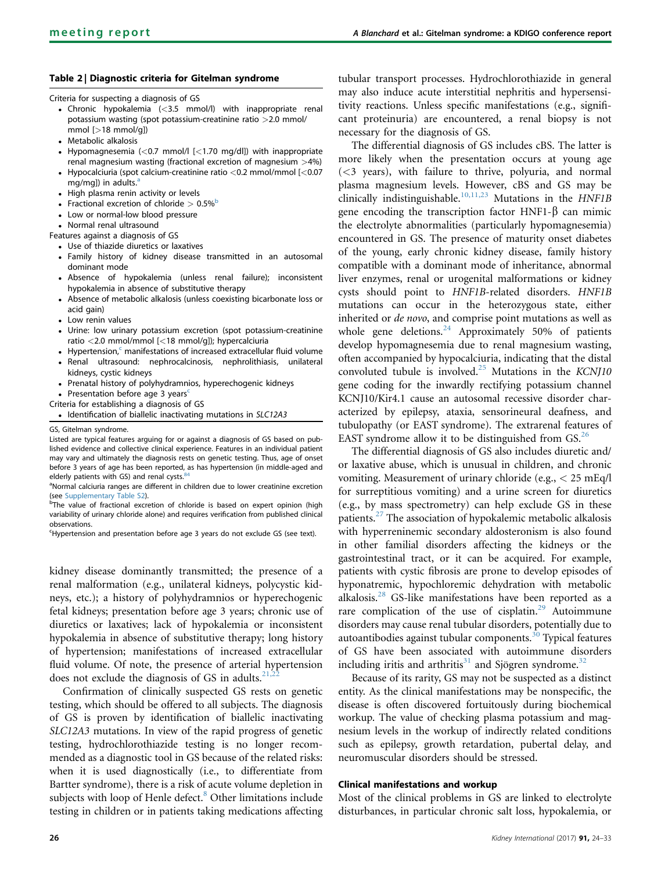#### <span id="page-2-0"></span>Table 2 | Diagnostic criteria for Gitelman syndrome

Criteria for suspecting a diagnosis of GS

- Chronic hypokalemia (<3.5 mmol/l) with inappropriate renal potassium wasting (spot potassium-creatinine ratio >2.0 mmol/ mmol  $[>18$  mmol/q])
- Metabolic alkalosis
- Hypomagnesemia  $(<$ 0.7 mmol/l  $[<$ 1.70 mg/dl]) with inappropriate renal magnesium wasting (fractional excretion of magnesium >4%)
- Hypocalciuria (spot calcium-creatinine ratio <0.2 mmol/mmol [<0.07 mg/mg]) in adults.<sup>a</sup>
- High plasma renin activity or levels
- Fractional excretion of chloride  $> 0.5\%$
- Low or normal-low blood pressure
- Normal renal ultrasound

Features against a diagnosis of GS

Use of thiazide diuretics or laxatives

- Family history of kidney disease transmitted in an autosomal dominant mode
- Absence of hypokalemia (unless renal failure); inconsistent hypokalemia in absence of substitutive therapy
- Absence of metabolic alkalosis (unless coexisting bicarbonate loss or acid gain)
- Low renin values
- Urine: low urinary potassium excretion (spot potassium-creatinine ratio <2.0 mmol/mmol [<18 mmol/g]); hypercalciuria
- Hypertension, $c$  manifestations of increased extracellular fluid volume Renal ultrasound: nephrocalcinosis, nephrolithiasis, unilateral
- kidneys, cystic kidneys
- Prenatal history of polyhydramnios, hyperechogenic kidneys
- Presentation before age 3 years

Criteria for establishing a diagnosis of GS

kidney disease dominantly transmitted; the presence of a renal malformation (e.g., unilateral kidneys, polycystic kidneys, etc.); a history of polyhydramnios or hyperechogenic fetal kidneys; presentation before age 3 years; chronic use of diuretics or laxatives; lack of hypokalemia or inconsistent hypokalemia in absence of substitutive therapy; long history of hypertension; manifestations of increased extracellular fluid volume. Of note, the presence of arterial hypertension does not exclude the diagnosis of GS in adults. $21,22$ 

Confirmation of clinically suspected GS rests on genetic testing, which should be offered to all subjects. The diagnosis of GS is proven by identification of biallelic inactivating SLC12A3 mutations. In view of the rapid progress of genetic testing, hydrochlorothiazide testing is no longer recommended as a diagnostic tool in GS because of the related risks: when it is used diagnostically (i.e., to differentiate from Bartter syndrome), there is a risk of acute volume depletion in subjects with loop of Henle defect.<sup>[8](#page-7-0)</sup> Other limitations include testing in children or in patients taking medications affecting tubular transport processes. Hydrochlorothiazide in general may also induce acute interstitial nephritis and hypersensitivity reactions. Unless specific manifestations (e.g., significant proteinuria) are encountered, a renal biopsy is not necessary for the diagnosis of GS.

The differential diagnosis of GS includes cBS. The latter is more likely when the presentation occurs at young age (<3 years), with failure to thrive, polyuria, and normal plasma magnesium levels. However, cBS and GS may be clinically indistinguishable.<sup>[10,11,23](#page-7-0)</sup> Mutations in the HNF1B gene encoding the transcription factor HNF1- $\beta$  can mimic the electrolyte abnormalities (particularly hypomagnesemia) encountered in GS. The presence of maturity onset diabetes of the young, early chronic kidney disease, family history compatible with a dominant mode of inheritance, abnormal liver enzymes, renal or urogenital malformations or kidney cysts should point to HNF1B-related disorders. HNF1B mutations can occur in the heterozygous state, either inherited or de novo, and comprise point mutations as well as whole gene deletions. $24$  Approximately 50% of patients develop hypomagnesemia due to renal magnesium wasting, often accompanied by hypocalciuria, indicating that the distal convoluted tubule is involved.<sup>[25](#page-8-0)</sup> Mutations in the  $KCNJ10$ gene coding for the inwardly rectifying potassium channel KCNJ10/Kir4.1 cause an autosomal recessive disorder characterized by epilepsy, ataxia, sensorineural deafness, and tubulopathy (or EAST syndrome). The extrarenal features of EAST syndrome allow it to be distinguished from  $GS<sup>26</sup>$  $GS<sup>26</sup>$  $GS<sup>26</sup>$ 

The differential diagnosis of GS also includes diuretic and/ or laxative abuse, which is unusual in children, and chronic vomiting. Measurement of urinary chloride (e.g., < 25 mEq/l for surreptitious vomiting) and a urine screen for diuretics (e.g., by mass spectrometry) can help exclude GS in these patients.<sup>[27](#page-8-0)</sup> The association of hypokalemic metabolic alkalosis with hyperreninemic secondary aldosteronism is also found in other familial disorders affecting the kidneys or the gastrointestinal tract, or it can be acquired. For example, patients with cystic fibrosis are prone to develop episodes of hyponatremic, hypochloremic dehydration with metabolic alkalosis.<sup>[28](#page-8-0)</sup> GS-like manifestations have been reported as a rare complication of the use of cisplatin.<sup>[29](#page-8-0)</sup> Autoimmune disorders may cause renal tubular disorders, potentially due to autoantibodies against tubular components.<sup>[30](#page-8-0)</sup> Typical features of GS have been associated with autoimmune disorders including iritis and arthritis $31$  and Sjögren syndrome.<sup>[32](#page-8-0)</sup>

Because of its rarity, GS may not be suspected as a distinct entity. As the clinical manifestations may be nonspecific, the disease is often discovered fortuitously during biochemical workup. The value of checking plasma potassium and magnesium levels in the workup of indirectly related conditions such as epilepsy, growth retardation, pubertal delay, and neuromuscular disorders should be stressed.

# Clinical manifestations and workup

Most of the clinical problems in GS are linked to electrolyte disturbances, in particular chronic salt loss, hypokalemia, or

<sup>•</sup> Identification of biallelic inactivating mutations in SLC12A3

GS, Gitelman syndrome.

Listed are typical features arguing for or against a diagnosis of GS based on published evidence and collective clinical experience. Features in an individual patient may vary and ultimately the diagnosis rests on genetic testing. Thus, age of onset before 3 years of age has been reported, as has hypertension (in middle-aged and elderly patients with GS) and renal cysts.<sup>8</sup>

<sup>&</sup>lt;sup>a</sup>Normal calciuria ranges are different in children due to lower creatinine excretion (see Supplementary Table S2).

<sup>&</sup>lt;sup>b</sup>The value of fractional excretion of chloride is based on expert opinion (high variability of urinary chloride alone) and requires verification from published clinical observations.

<sup>&</sup>lt;sup>c</sup>Hypertension and presentation before age 3 years do not exclude GS (see text).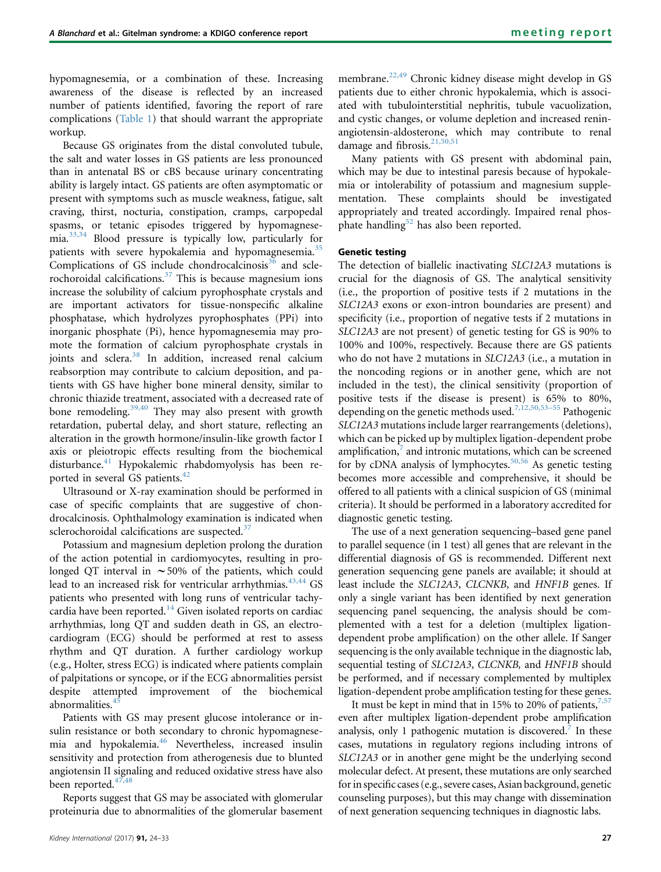hypomagnesemia, or a combination of these. Increasing awareness of the disease is reflected by an increased number of patients identified, favoring the report of rare complications [\(Table 1\)](#page-1-0) that should warrant the appropriate workup.

Because GS originates from the distal convoluted tubule, the salt and water losses in GS patients are less pronounced than in antenatal BS or cBS because urinary concentrating ability is largely intact. GS patients are often asymptomatic or present with symptoms such as muscle weakness, fatigue, salt craving, thirst, nocturia, constipation, cramps, carpopedal spasms, or tetanic episodes triggered by hypomagnesemia.[33,34](#page-8-0) Blood pressure is typically low, particularly for patients with severe hypokalemia and hypomagnesemia.<sup>[35](#page-8-0)</sup> Complications of GS include chondrocalcinosis $36$  and sclerochoroidal calcifications. $37$  This is because magnesium ions increase the solubility of calcium pyrophosphate crystals and are important activators for tissue-nonspecific alkaline phosphatase, which hydrolyzes pyrophosphates (PPi) into inorganic phosphate (Pi), hence hypomagnesemia may promote the formation of calcium pyrophosphate crystals in joints and sclera.<sup>[38](#page-8-0)</sup> In addition, increased renal calcium reabsorption may contribute to calcium deposition, and patients with GS have higher bone mineral density, similar to chronic thiazide treatment, associated with a decreased rate of bone remodeling.<sup>[39,40](#page-8-0)</sup> They may also present with growth retardation, pubertal delay, and short stature, reflecting an alteration in the growth hormone/insulin-like growth factor I axis or pleiotropic effects resulting from the biochemical disturbance.<sup>41</sup> Hypokalemic rhabdomyolysis has been re-ported in several GS patients.<sup>[42](#page-8-0)</sup>

Ultrasound or X-ray examination should be performed in case of specific complaints that are suggestive of chondrocalcinosis. Ophthalmology examination is indicated when sclerochoroidal calcifications are suspected.<sup>[37](#page-8-0)</sup>

Potassium and magnesium depletion prolong the duration of the action potential in cardiomyocytes, resulting in prolonged QT interval in  $\sim$  50% of the patients, which could lead to an increased risk for ventricular arrhythmias.<sup>[43,44](#page-8-0)</sup> GS patients who presented with long runs of ventricular tachycardia have been reported. $14$  Given isolated reports on cardiac arrhythmias, long QT and sudden death in GS, an electrocardiogram (ECG) should be performed at rest to assess rhythm and QT duration. A further cardiology workup (e.g., Holter, stress ECG) is indicated where patients complain of palpitations or syncope, or if the ECG abnormalities persist despite attempted improvement of the biochemical abnormalities.<sup>[45](#page-8-0)</sup>

Patients with GS may present glucose intolerance or insulin resistance or both secondary to chronic hypomagnesemia and hypokalemia[.46](#page-8-0) Nevertheless, increased insulin sensitivity and protection from atherogenesis due to blunted angiotensin II signaling and reduced oxidative stress have also been reported.<sup>[47,48](#page-8-0)</sup>

Reports suggest that GS may be associated with glomerular proteinuria due to abnormalities of the glomerular basement membrane.<sup>[22,49](#page-7-0)</sup> Chronic kidney disease might develop in GS patients due to either chronic hypokalemia, which is associated with tubulointerstitial nephritis, tubule vacuolization, and cystic changes, or volume depletion and increased reninangiotensin-aldosterone, which may contribute to renal damage and fibrosis.<sup>21,50,51</sup>

Many patients with GS present with abdominal pain, which may be due to intestinal paresis because of hypokalemia or intolerability of potassium and magnesium supplementation. These complaints should be investigated appropriately and treated accordingly. Impaired renal phosphate handling $52$  has also been reported.

# Genetic testing

The detection of biallelic inactivating SLC12A3 mutations is crucial for the diagnosis of GS. The analytical sensitivity (i.e., the proportion of positive tests if 2 mutations in the SLC12A3 exons or exon-intron boundaries are present) and specificity (i.e., proportion of negative tests if 2 mutations in SLC12A3 are not present) of genetic testing for GS is 90% to 100% and 100%, respectively. Because there are GS patients who do not have 2 mutations in SLC12A3 (i.e., a mutation in the noncoding regions or in another gene, which are not included in the test), the clinical sensitivity (proportion of positive tests if the disease is present) is 65% to 80%, depending on the genetic methods used.<sup>[7,12,50,53](#page-7-0)-55</sup> Pathogenic SLC12A3 mutations include larger rearrangements (deletions), which can be picked up by multiplex ligation-dependent probe amplification, $\frac{7}{7}$  $\frac{7}{7}$  $\frac{7}{7}$  and intronic mutations, which can be screened for by cDNA analysis of lymphocytes.<sup>[50,56](#page-8-0)</sup> As genetic testing becomes more accessible and comprehensive, it should be offered to all patients with a clinical suspicion of GS (minimal criteria). It should be performed in a laboratory accredited for diagnostic genetic testing.

The use of a next generation sequencing–based gene panel to parallel sequence (in 1 test) all genes that are relevant in the differential diagnosis of GS is recommended. Different next generation sequencing gene panels are available; it should at least include the SLC12A3, CLCNKB, and HNF1B genes. If only a single variant has been identified by next generation sequencing panel sequencing, the analysis should be complemented with a test for a deletion (multiplex ligationdependent probe amplification) on the other allele. If Sanger sequencing is the only available technique in the diagnostic lab, sequential testing of SLC12A3, CLCNKB, and HNF1B should be performed, and if necessary complemented by multiplex ligation-dependent probe amplification testing for these genes.

It must be kept in mind that in 15% to 20% of patients,  $7,57$ even after multiplex ligation-dependent probe amplification analysis, only 1 pathogenic mutation is discovered.<sup>7</sup> In these cases, mutations in regulatory regions including introns of SLC12A3 or in another gene might be the underlying second molecular defect. At present, these mutations are only searched for in specific cases (e.g., severe cases, Asian background, genetic counseling purposes), but this may change with dissemination of next generation sequencing techniques in diagnostic labs.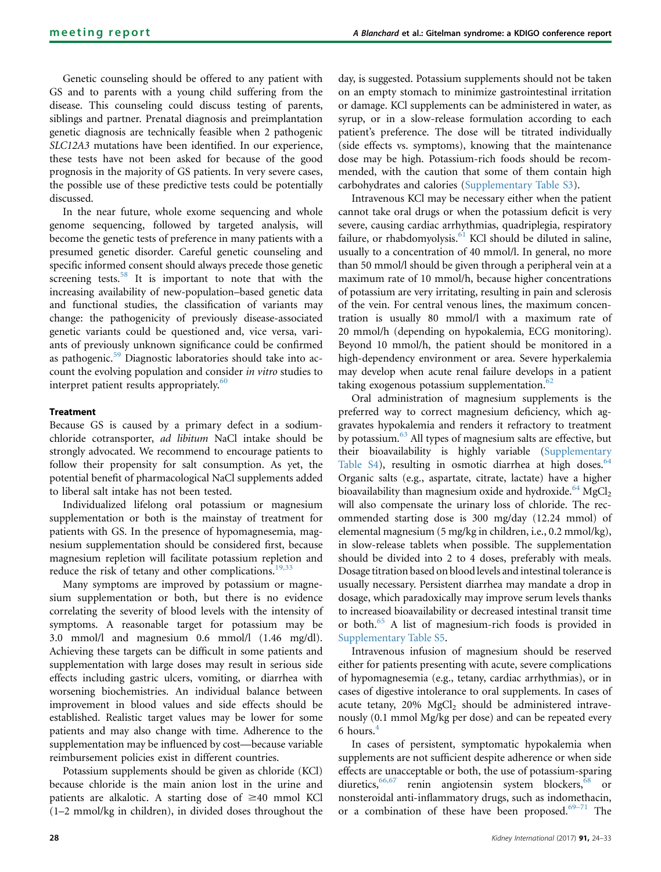Genetic counseling should be offered to any patient with GS and to parents with a young child suffering from the disease. This counseling could discuss testing of parents, siblings and partner. Prenatal diagnosis and preimplantation genetic diagnosis are technically feasible when 2 pathogenic SLC12A3 mutations have been identified. In our experience, these tests have not been asked for because of the good prognosis in the majority of GS patients. In very severe cases, the possible use of these predictive tests could be potentially discussed.

In the near future, whole exome sequencing and whole genome sequencing, followed by targeted analysis, will become the genetic tests of preference in many patients with a presumed genetic disorder. Careful genetic counseling and specific informed consent should always precede those genetic screening tests.<sup>[58](#page-8-0)</sup> It is important to note that with the increasing availability of new-population–based genetic data and functional studies, the classification of variants may change: the pathogenicity of previously disease-associated genetic variants could be questioned and, vice versa, variants of previously unknown significance could be confirmed as pathogenic.<sup>[59](#page-8-0)</sup> Diagnostic laboratories should take into account the evolving population and consider in vitro studies to interpret patient results appropriately.<sup>[60](#page-8-0)</sup>

## Treatment

Because GS is caused by a primary defect in a sodiumchloride cotransporter, ad libitum NaCl intake should be strongly advocated. We recommend to encourage patients to follow their propensity for salt consumption. As yet, the potential benefit of pharmacological NaCl supplements added to liberal salt intake has not been tested.

Individualized lifelong oral potassium or magnesium supplementation or both is the mainstay of treatment for patients with GS. In the presence of hypomagnesemia, magnesium supplementation should be considered first, because magnesium repletion will facilitate potassium repletion and reduce the risk of tetany and other complications.<sup>19,33</sup>

Many symptoms are improved by potassium or magnesium supplementation or both, but there is no evidence correlating the severity of blood levels with the intensity of symptoms. A reasonable target for potassium may be 3.0 mmol/l and magnesium 0.6 mmol/l (1.46 mg/dl). Achieving these targets can be difficult in some patients and supplementation with large doses may result in serious side effects including gastric ulcers, vomiting, or diarrhea with worsening biochemistries. An individual balance between improvement in blood values and side effects should be established. Realistic target values may be lower for some patients and may also change with time. Adherence to the supplementation may be influenced by cost—because variable reimbursement policies exist in different countries.

Potassium supplements should be given as chloride (KCl) because chloride is the main anion lost in the urine and patients are alkalotic. A starting dose of  $\geq 40$  mmol KCl (1–2 mmol/kg in children), in divided doses throughout the day, is suggested. Potassium supplements should not be taken on an empty stomach to minimize gastrointestinal irritation or damage. KCl supplements can be administered in water, as syrup, or in a slow-release formulation according to each patient's preference. The dose will be titrated individually (side effects vs. symptoms), knowing that the maintenance dose may be high. Potassium-rich foods should be recommended, with the caution that some of them contain high carbohydrates and calories (Supplementary Table S3).

Intravenous KCl may be necessary either when the patient cannot take oral drugs or when the potassium deficit is very severe, causing cardiac arrhythmias, quadriplegia, respiratory failure, or rhabdomyolysis.<sup>[61](#page-8-0)</sup> KCl should be diluted in saline, usually to a concentration of 40 mmol/l. In general, no more than 50 mmol/l should be given through a peripheral vein at a maximum rate of 10 mmol/h, because higher concentrations of potassium are very irritating, resulting in pain and sclerosis of the vein. For central venous lines, the maximum concentration is usually 80 mmol/l with a maximum rate of 20 mmol/h (depending on hypokalemia, ECG monitoring). Beyond 10 mmol/h, the patient should be monitored in a high-dependency environment or area. Severe hyperkalemia may develop when acute renal failure develops in a patient taking exogenous potassium supplementation. $62$ 

Oral administration of magnesium supplements is the preferred way to correct magnesium deficiency, which aggravates hypokalemia and renders it refractory to treatment by potassium.<sup>[63](#page-8-0)</sup> All types of magnesium salts are effective, but their bioavailability is highly variable (Supplementary Table S4), resulting in osmotic diarrhea at high doses.  $64$ Organic salts (e.g., aspartate, citrate, lactate) have a higher bioavailability than magnesium oxide and hydroxide.<sup>[64](#page-8-0)</sup> MgCl<sub>2</sub> will also compensate the urinary loss of chloride. The recommended starting dose is 300 mg/day (12.24 mmol) of elemental magnesium (5 mg/kg in children, i.e., 0.2 mmol/kg), in slow-release tablets when possible. The supplementation should be divided into 2 to 4 doses, preferably with meals. Dosage titration based on blood levels and intestinal tolerance is usually necessary. Persistent diarrhea may mandate a drop in dosage, which paradoxically may improve serum levels thanks to increased bioavailability or decreased intestinal transit time or both.<sup>[65](#page-8-0)</sup> A list of magnesium-rich foods is provided in Supplementary Table S5.

Intravenous infusion of magnesium should be reserved either for patients presenting with acute, severe complications of hypomagnesemia (e.g., tetany, cardiac arrhythmias), or in cases of digestive intolerance to oral supplements. In cases of acute tetany,  $20\%$  MgCl<sub>2</sub> should be administered intravenously (0.1 mmol Mg/kg per dose) and can be repeated every 6 hours. $4$ 

In cases of persistent, symptomatic hypokalemia when supplements are not sufficient despite adherence or when side effects are unacceptable or both, the use of potassium-sparing diuretics,  $66,67$  renin angiotensin system blockers,  $68$  or nonsteroidal anti-inflammatory drugs, such as indomethacin, or a combination of these have been proposed. $69-71$  $69-71$  The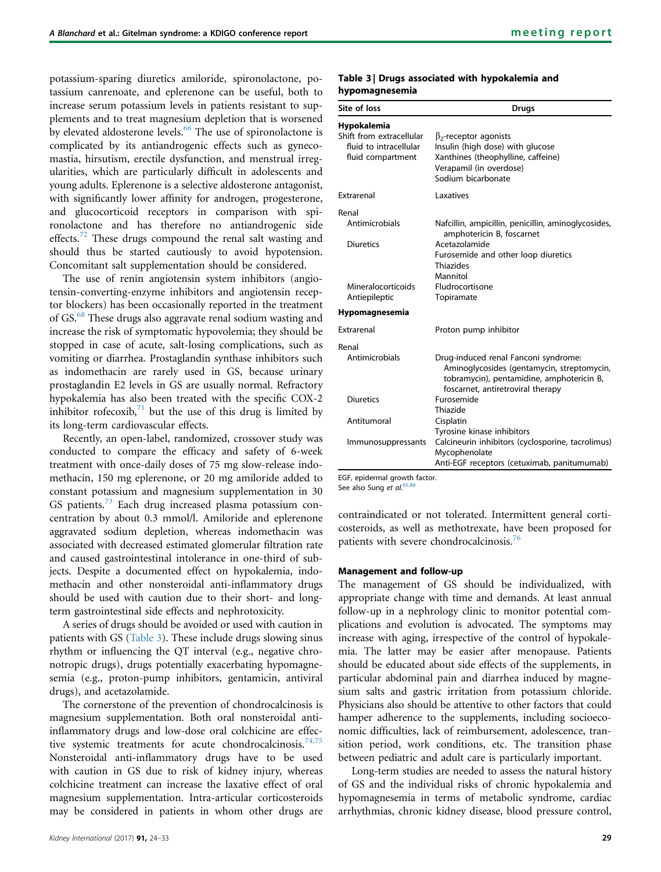potassium-sparing diuretics amiloride, spironolactone, potassium canrenoate, and eplerenone can be useful, both to increase serum potassium levels in patients resistant to supplements and to treat magnesium depletion that is worsened by elevated aldosterone levels.<sup>[66](#page-8-0)</sup> The use of spironolactone is complicated by its antiandrogenic effects such as gynecomastia, hirsutism, erectile dysfunction, and menstrual irregularities, which are particularly difficult in adolescents and young adults. Eplerenone is a selective aldosterone antagonist, with significantly lower affinity for androgen, progesterone, and glucocorticoid receptors in comparison with spironolactone and has therefore no antiandrogenic side effects.[72](#page-8-0) These drugs compound the renal salt wasting and should thus be started cautiously to avoid hypotension. Concomitant salt supplementation should be considered.

The use of renin angiotensin system inhibitors (angiotensin-converting-enzyme inhibitors and angiotensin receptor blockers) has been occasionally reported in the treatment of GS.<sup>[68](#page-8-0)</sup> These drugs also aggravate renal sodium wasting and increase the risk of symptomatic hypovolemia; they should be stopped in case of acute, salt-losing complications, such as vomiting or diarrhea. Prostaglandin synthase inhibitors such as indomethacin are rarely used in GS, because urinary prostaglandin E2 levels in GS are usually normal. Refractory hypokalemia has also been treated with the specific COX-2 inhibitor rofecoxib, $^{71}$  but the use of this drug is limited by its long-term cardiovascular effects.

Recently, an open-label, randomized, crossover study was conducted to compare the efficacy and safety of 6-week treatment with once-daily doses of 75 mg slow-release indomethacin, 150 mg eplerenone, or 20 mg amiloride added to constant potassium and magnesium supplementation in 30 GS patients.<sup>[73](#page-8-0)</sup> Each drug increased plasma potassium concentration by about 0.3 mmol/l. Amiloride and eplerenone aggravated sodium depletion, whereas indomethacin was associated with decreased estimated glomerular filtration rate and caused gastrointestinal intolerance in one-third of subjects. Despite a documented effect on hypokalemia, indomethacin and other nonsteroidal anti-inflammatory drugs should be used with caution due to their short- and longterm gastrointestinal side effects and nephrotoxicity.

A series of drugs should be avoided or used with caution in patients with GS (Table 3). These include drugs slowing sinus rhythm or influencing the QT interval (e.g., negative chronotropic drugs), drugs potentially exacerbating hypomagnesemia (e.g., proton-pump inhibitors, gentamicin, antiviral drugs), and acetazolamide.

The cornerstone of the prevention of chondrocalcinosis is magnesium supplementation. Both oral nonsteroidal antiinflammatory drugs and low-dose oral colchicine are effec-tive systemic treatments for acute chondrocalcinosis.<sup>[74,75](#page-8-0)</sup> Nonsteroidal anti-inflammatory drugs have to be used with caution in GS due to risk of kidney injury, whereas colchicine treatment can increase the laxative effect of oral magnesium supplementation. Intra-articular corticosteroids may be considered in patients in whom other drugs are

## Table 3 | Drugs associated with hypokalemia and hypomagnesemia

| Site of loss                                                            | <b>Drugs</b>                                                                                                                                                         |
|-------------------------------------------------------------------------|----------------------------------------------------------------------------------------------------------------------------------------------------------------------|
| Hypokalemia                                                             |                                                                                                                                                                      |
| Shift from extracellular<br>fluid to intracellular<br>fluid compartment | $\beta$ <sub>2</sub> -receptor agonists<br>Insulin (high dose) with glucose<br>Xanthines (theophylline, caffeine)<br>Verapamil (in overdose)<br>Sodium bicarbonate   |
| Extrarenal                                                              | Laxatives                                                                                                                                                            |
| Renal                                                                   |                                                                                                                                                                      |
| Antimicrobials                                                          | Nafcillin, ampicillin, penicillin, aminoglycosides,<br>amphotericin B, foscarnet                                                                                     |
| <b>Diuretics</b>                                                        | Acetazolamide                                                                                                                                                        |
|                                                                         | Furosemide and other loop diuretics                                                                                                                                  |
|                                                                         | <b>Thiazides</b>                                                                                                                                                     |
|                                                                         | Mannitol                                                                                                                                                             |
| Mineralocorticoids<br>Antiepileptic                                     | Fludrocortisone<br>Topiramate                                                                                                                                        |
| Hypomagnesemia                                                          |                                                                                                                                                                      |
| Extrarenal                                                              | Proton pump inhibitor                                                                                                                                                |
| Renal                                                                   |                                                                                                                                                                      |
| Antimicrobials                                                          | Drug-induced renal Fanconi syndrome:<br>Aminoglycosides (gentamycin, streptomycin,<br>tobramycin), pentamidine, amphotericin B,<br>foscarnet, antiretroviral therapy |
| <b>Diuretics</b>                                                        | Furosemide                                                                                                                                                           |
|                                                                         | Thiazide                                                                                                                                                             |
| Antitumoral                                                             | Cisplatin                                                                                                                                                            |
|                                                                         | Tyrosine kinase inhibitors                                                                                                                                           |
| Immunosuppressants                                                      | Calcineurin inhibitors (cyclosporine, tacrolimus)<br>Mycophenolate                                                                                                   |
|                                                                         | Anti-EGF receptors (cetuximab, panitumumab)                                                                                                                          |

EGF, epidermal growth factor.

See also Sung et al.<sup>85,8</sup>

contraindicated or not tolerated. Intermittent general corticosteroids, as well as methotrexate, have been proposed for patients with severe chondrocalcinosis.<sup>[76](#page-9-0)</sup>

### Management and follow-up

The management of GS should be individualized, with appropriate change with time and demands. At least annual follow-up in a nephrology clinic to monitor potential complications and evolution is advocated. The symptoms may increase with aging, irrespective of the control of hypokalemia. The latter may be easier after menopause. Patients should be educated about side effects of the supplements, in particular abdominal pain and diarrhea induced by magnesium salts and gastric irritation from potassium chloride. Physicians also should be attentive to other factors that could hamper adherence to the supplements, including socioeconomic difficulties, lack of reimbursement, adolescence, transition period, work conditions, etc. The transition phase between pediatric and adult care is particularly important.

Long-term studies are needed to assess the natural history of GS and the individual risks of chronic hypokalemia and hypomagnesemia in terms of metabolic syndrome, cardiac arrhythmias, chronic kidney disease, blood pressure control,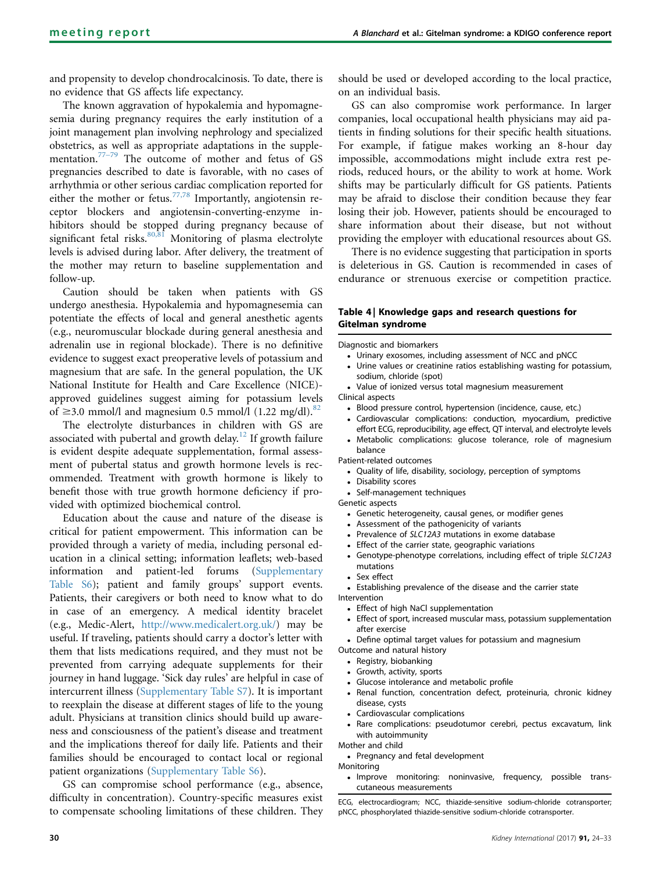<span id="page-6-0"></span>and propensity to develop chondrocalcinosis. To date, there is no evidence that GS affects life expectancy.

The known aggravation of hypokalemia and hypomagnesemia during pregnancy requires the early institution of a joint management plan involving nephrology and specialized obstetrics, as well as appropriate adaptations in the supplementation.[77](#page-9-0)–<sup>79</sup> The outcome of mother and fetus of GS pregnancies described to date is favorable, with no cases of arrhythmia or other serious cardiac complication reported for either the mother or fetus.<sup>[77,78](#page-9-0)</sup> Importantly, angiotensin receptor blockers and angiotensin-converting-enzyme inhibitors should be stopped during pregnancy because of significant fetal risks. $80,81$  Monitoring of plasma electrolyte levels is advised during labor. After delivery, the treatment of the mother may return to baseline supplementation and follow-up.

Caution should be taken when patients with GS undergo anesthesia. Hypokalemia and hypomagnesemia can potentiate the effects of local and general anesthetic agents (e.g., neuromuscular blockade during general anesthesia and adrenalin use in regional blockade). There is no definitive evidence to suggest exact preoperative levels of potassium and magnesium that are safe. In the general population, the UK National Institute for Health and Care Excellence (NICE) approved guidelines suggest aiming for potassium levels of  $\geq$ 3.0 mmol/l and magnesium 0.5 mmol/l (1.22 mg/dl).<sup>[82](#page-9-0)</sup>

The electrolyte disturbances in children with GS are associated with pubertal and growth delay.<sup>[12](#page-7-0)</sup> If growth failure is evident despite adequate supplementation, formal assessment of pubertal status and growth hormone levels is recommended. Treatment with growth hormone is likely to benefit those with true growth hormone deficiency if provided with optimized biochemical control.

Education about the cause and nature of the disease is critical for patient empowerment. This information can be provided through a variety of media, including personal education in a clinical setting; information leaflets; web-based information and patient-led forums (Supplementary Table S6); patient and family groups' support events. Patients, their caregivers or both need to know what to do in case of an emergency. A medical identity bracelet (e.g., Medic-Alert, [http://www.medicalert.org.uk/\)](http://www.medicalert.org.uk/) may be useful. If traveling, patients should carry a doctor's letter with them that lists medications required, and they must not be prevented from carrying adequate supplements for their journey in hand luggage. 'Sick day rules' are helpful in case of intercurrent illness (Supplementary Table S7). It is important to reexplain the disease at different stages of life to the young adult. Physicians at transition clinics should build up awareness and consciousness of the patient's disease and treatment and the implications thereof for daily life. Patients and their families should be encouraged to contact local or regional patient organizations (Supplementary Table S6).

GS can compromise school performance (e.g., absence, difficulty in concentration). Country-specific measures exist to compensate schooling limitations of these children. They

should be used or developed according to the local practice, on an individual basis.

GS can also compromise work performance. In larger companies, local occupational health physicians may aid patients in finding solutions for their specific health situations. For example, if fatigue makes working an 8-hour day impossible, accommodations might include extra rest periods, reduced hours, or the ability to work at home. Work shifts may be particularly difficult for GS patients. Patients may be afraid to disclose their condition because they fear losing their job. However, patients should be encouraged to share information about their disease, but not without providing the employer with educational resources about GS.

There is no evidence suggesting that participation in sports is deleterious in GS. Caution is recommended in cases of endurance or strenuous exercise or competition practice.

## Table 4 | Knowledge gaps and research questions for Gitelman syndrome

Diagnostic and biomarkers

- Urinary exosomes, including assessment of NCC and pNCC
- Urine values or creatinine ratios establishing wasting for potassium, sodium, chloride (spot)

 Value of ionized versus total magnesium measurement Clinical aspects

- Blood pressure control, hypertension (incidence, cause, etc.)
- Cardiovascular complications: conduction, myocardium, predictive effort ECG, reproducibility, age effect, QT interval, and electrolyte levels
- Metabolic complications: glucose tolerance, role of magnesium balance

Patient-related outcomes

- Quality of life, disability, sociology, perception of symptoms
- Disability scores
- Self-management techniques

Genetic aspects

- Genetic heterogeneity, causal genes, or modifier genes
- Assessment of the pathogenicity of variants
- Prevalence of SLC12A3 mutations in exome database
- Effect of the carrier state, geographic variations
- Genotype-phenotype correlations, including effect of triple SLC12A3 mutations
- Sex effect

 Establishing prevalence of the disease and the carrier state Intervention

- Effect of high NaCl supplementation
- Effect of sport, increased muscular mass, potassium supplementation after exercise

Define optimal target values for potassium and magnesium

- Outcome and natural history
	- Registry, biobanking
	- Growth, activity, sports
	- Glucose intolerance and metabolic profile
	- Renal function, concentration defect, proteinuria, chronic kidney disease, cysts
	- Cardiovascular complications
	- Rare complications: pseudotumor cerebri, pectus excavatum, link with autoimmunity

Mother and child

Pregnancy and fetal development

Monitoring

 Improve monitoring: noninvasive, frequency, possible transcutaneous measurements

ECG, electrocardiogram; NCC, thiazide-sensitive sodium-chloride cotransporter; pNCC, phosphorylated thiazide-sensitive sodium-chloride cotransporter.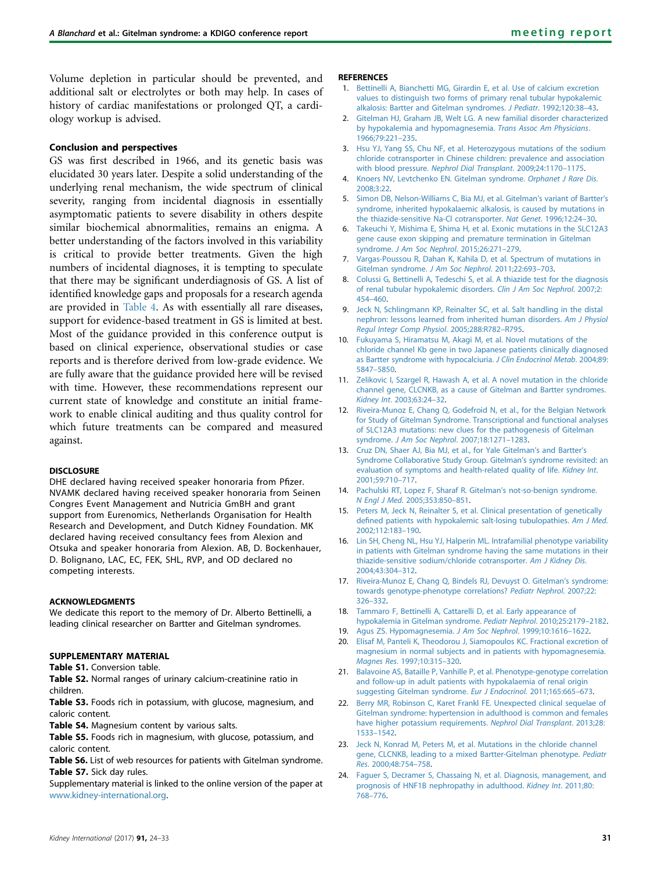<span id="page-7-0"></span>Volume depletion in particular should be prevented, and additional salt or electrolytes or both may help. In cases of history of cardiac manifestations or prolonged QT, a cardiology workup is advised.

#### Conclusion and perspectives

GS was first described in 1966, and its genetic basis was elucidated 30 years later. Despite a solid understanding of the underlying renal mechanism, the wide spectrum of clinical severity, ranging from incidental diagnosis in essentially asymptomatic patients to severe disability in others despite similar biochemical abnormalities, remains an enigma. A better understanding of the factors involved in this variability is critical to provide better treatments. Given the high numbers of incidental diagnoses, it is tempting to speculate that there may be significant underdiagnosis of GS. A list of identified knowledge gaps and proposals for a research agenda are provided in [Table 4](#page-6-0). As with essentially all rare diseases, support for evidence-based treatment in GS is limited at best. Most of the guidance provided in this conference output is based on clinical experience, observational studies or case reports and is therefore derived from low-grade evidence. We are fully aware that the guidance provided here will be revised with time. However, these recommendations represent our current state of knowledge and constitute an initial framework to enable clinical auditing and thus quality control for which future treatments can be compared and measured against.

#### **DISCLOSURE**

DHE declared having received speaker honoraria from Pfizer. NVAMK declared having received speaker honoraria from Seinen Congres Event Management and Nutricia GmBH and grant support from Eurenomics, Netherlands Organisation for Health Research and Development, and Dutch Kidney Foundation. MK declared having received consultancy fees from Alexion and Otsuka and speaker honoraria from Alexion. AB, D. Bockenhauer, D. Bolignano, LAC, EC, FEK, SHL, RVP, and OD declared no competing interests.

#### ACKNOWLEDGMENTS

We dedicate this report to the memory of Dr. Alberto Bettinelli, a leading clinical researcher on Bartter and Gitelman syndromes.

## SUPPLEMENTARY MATERIAL

#### Table S1. Conversion table.

Table S2. Normal ranges of urinary calcium-creatinine ratio in children.

Table S3. Foods rich in potassium, with glucose, magnesium, and caloric content.

Table S4. Magnesium content by various salts.

Table S5. Foods rich in magnesium, with glucose, potassium, and caloric content.

Table S6. List of web resources for patients with Gitelman syndrome. Table S7. Sick day rules.

Supplementary material is linked to the online version of the paper at [www.kidney-international.org](http://www.kidney-international.org).

#### REFERENCES

- 1. [Bettinelli A, Bianchetti MG, Girardin E, et al. Use of calcium excretion](http://refhub.elsevier.com/S0085-2538(16)30602-0/sref1) [values to distinguish two forms of primary renal tubular hypokalemic](http://refhub.elsevier.com/S0085-2538(16)30602-0/sref1) [alkalosis: Bartter and Gitelman syndromes.](http://refhub.elsevier.com/S0085-2538(16)30602-0/sref1) J Pediatr. 1992;120:38–43.
- 2. [Gitelman HJ, Graham JB, Welt LG. A new familial disorder characterized](http://refhub.elsevier.com/S0085-2538(16)30602-0/sref2) [by hypokalemia and hypomagnesemia.](http://refhub.elsevier.com/S0085-2538(16)30602-0/sref2) Trans Assoc Am Physicians. [1966;79:221](http://refhub.elsevier.com/S0085-2538(16)30602-0/sref2)–235.
- 3. [Hsu YJ, Yang SS, Chu NF, et al. Heterozygous mutations of the sodium](http://refhub.elsevier.com/S0085-2538(16)30602-0/sref3) [chloride cotransporter in Chinese children: prevalence and association](http://refhub.elsevier.com/S0085-2538(16)30602-0/sref3) with blood pressure. [Nephrol Dial Transplant](http://refhub.elsevier.com/S0085-2538(16)30602-0/sref3). 2009;24:1170-1175.
- 4. [Knoers NV, Levtchenko EN. Gitelman syndrome.](http://refhub.elsevier.com/S0085-2538(16)30602-0/sref4) Orphanet J Rare Dis. [2008;3:22](http://refhub.elsevier.com/S0085-2538(16)30602-0/sref4).
- 5. [Simon DB, Nelson-Williams C, Bia MJ, et al. Gitelman](http://refhub.elsevier.com/S0085-2538(16)30602-0/sref5)'s variant of Bartter's [syndrome, inherited hypokalaemic alkalosis, is caused by mutations in](http://refhub.elsevier.com/S0085-2538(16)30602-0/sref5) [the thiazide-sensitive Na-Cl cotransporter.](http://refhub.elsevier.com/S0085-2538(16)30602-0/sref5) Nat Genet. 1996;12:24–30.
- 6. [Takeuchi Y, Mishima E, Shima H, et al. Exonic mutations in the SLC12A3](http://refhub.elsevier.com/S0085-2538(16)30602-0/sref6) [gene cause exon skipping and premature termination in Gitelman](http://refhub.elsevier.com/S0085-2538(16)30602-0/sref6) syndrome. [J Am Soc Nephrol](http://refhub.elsevier.com/S0085-2538(16)30602-0/sref6). 2015;26:271–279.
- 7. [Vargas-Poussou R, Dahan K, Kahila D, et al. Spectrum of mutations in](http://refhub.elsevier.com/S0085-2538(16)30602-0/sref7) [Gitelman syndrome.](http://refhub.elsevier.com/S0085-2538(16)30602-0/sref7) J Am Soc Nephrol. 2011;22:693–703.
- 8. [Colussi G, Bettinelli A, Tedeschi S, et al. A thiazide test for the diagnosis](http://refhub.elsevier.com/S0085-2538(16)30602-0/sref8) [of renal tubular hypokalemic disorders.](http://refhub.elsevier.com/S0085-2538(16)30602-0/sref8) Clin J Am Soc Nephrol. 2007;2: [454](http://refhub.elsevier.com/S0085-2538(16)30602-0/sref8)–460.
- 9. [Jeck N, Schlingmann KP, Reinalter SC, et al. Salt handling in the distal](http://refhub.elsevier.com/S0085-2538(16)30602-0/sref9) [nephron: lessons learned from inherited human disorders.](http://refhub.elsevier.com/S0085-2538(16)30602-0/sref9) Am J Physiol [Regul Integr Comp Physiol](http://refhub.elsevier.com/S0085-2538(16)30602-0/sref9). 2005;288:R782–R795.
- 10. [Fukuyama S, Hiramatsu M, Akagi M, et al. Novel mutations of the](http://refhub.elsevier.com/S0085-2538(16)30602-0/sref10) [chloride channel Kb gene in two Japanese patients clinically diagnosed](http://refhub.elsevier.com/S0085-2538(16)30602-0/sref10) [as Bartter syndrome with hypocalciuria.](http://refhub.elsevier.com/S0085-2538(16)30602-0/sref10) J Clin Endocrinol Metab. 2004;89: 5847–[5850.](http://refhub.elsevier.com/S0085-2538(16)30602-0/sref10)
- 11. [Zelikovic I, Szargel R, Hawash A, et al. A novel mutation in the chloride](http://refhub.elsevier.com/S0085-2538(16)30602-0/sref11) [channel gene, CLCNKB, as a cause of Gitelman and Bartter syndromes.](http://refhub.elsevier.com/S0085-2538(16)30602-0/sref11) Kidney Int[. 2003;63:24](http://refhub.elsevier.com/S0085-2538(16)30602-0/sref11)–32.
- 12. [Riveira-Munoz E, Chang Q, Godefroid N, et al., for the Belgian Network](http://refhub.elsevier.com/S0085-2538(16)30602-0/sref12) [for Study of Gitelman Syndrome. Transcriptional and functional analyses](http://refhub.elsevier.com/S0085-2538(16)30602-0/sref12) [of SLC12A3 mutations: new clues for the pathogenesis of Gitelman](http://refhub.elsevier.com/S0085-2538(16)30602-0/sref12) syndrome. [J Am Soc Nephrol](http://refhub.elsevier.com/S0085-2538(16)30602-0/sref12). 2007;18:1271–1283.
- 13. [Cruz DN, Shaer AJ, Bia MJ, et al., for Yale Gitelman](http://refhub.elsevier.com/S0085-2538(16)30602-0/sref13)'s and Bartter's [Syndrome Collaborative Study Group. Gitelman](http://refhub.elsevier.com/S0085-2538(16)30602-0/sref13)'s syndrome revisited: an [evaluation of symptoms and health-related quality of life.](http://refhub.elsevier.com/S0085-2538(16)30602-0/sref13) Kidney Int. [2001;59:710](http://refhub.elsevier.com/S0085-2538(16)30602-0/sref13)–717.
- 14. [Pachulski RT, Lopez F, Sharaf R. Gitelman](http://refhub.elsevier.com/S0085-2538(16)30602-0/sref14)'s not-so-benign syndrome. N Engl J Med[. 2005;353:850](http://refhub.elsevier.com/S0085-2538(16)30602-0/sref14)–851.
- 15. [Peters M, Jeck N, Reinalter S, et al. Clinical presentation of genetically](http://refhub.elsevier.com/S0085-2538(16)30602-0/sref15) defi[ned patients with hypokalemic salt-losing tubulopathies.](http://refhub.elsevier.com/S0085-2538(16)30602-0/sref15) Am J Med. [2002;112:183](http://refhub.elsevier.com/S0085-2538(16)30602-0/sref15)–190.
- 16. [Lin SH, Cheng NL, Hsu YJ, Halperin ML. Intrafamilial phenotype variability](http://refhub.elsevier.com/S0085-2538(16)30602-0/sref16) [in patients with Gitelman syndrome having the same mutations in their](http://refhub.elsevier.com/S0085-2538(16)30602-0/sref16) [thiazide-sensitive sodium/chloride cotransporter.](http://refhub.elsevier.com/S0085-2538(16)30602-0/sref16) Am J Kidney Dis. [2004;43:304](http://refhub.elsevier.com/S0085-2538(16)30602-0/sref16)–312.
- 17. [Riveira-Munoz E, Chang Q, Bindels RJ, Devuyst O. Gitelman](http://refhub.elsevier.com/S0085-2538(16)30602-0/sref17)'s syndrome: [towards genotype-phenotype correlations?](http://refhub.elsevier.com/S0085-2538(16)30602-0/sref17) Pediatr Nephrol. 2007;22: 326–[332](http://refhub.elsevier.com/S0085-2538(16)30602-0/sref17).
- 18. [Tammaro F, Bettinelli A, Cattarelli D, et al. Early appearance of](http://refhub.elsevier.com/S0085-2538(16)30602-0/sref18) [hypokalemia in Gitelman syndrome.](http://refhub.elsevier.com/S0085-2538(16)30602-0/sref18) Pediatr Nephrol. 2010;25:2179–2182.
- 19. [Agus ZS. Hypomagnesemia.](http://refhub.elsevier.com/S0085-2538(16)30602-0/sref19) J Am Soc Nephrol. 1999;10:1616–1622. 20. [Elisaf M, Panteli K, Theodorou J, Siamopoulos KC. Fractional excretion of](http://refhub.elsevier.com/S0085-2538(16)30602-0/sref20)
- [magnesium in normal subjects and in patients with hypomagnesemia.](http://refhub.elsevier.com/S0085-2538(16)30602-0/sref20) Magnes Res[. 1997;10:315](http://refhub.elsevier.com/S0085-2538(16)30602-0/sref20)–320.
- 21. [Balavoine AS, Bataille P, Vanhille P, et al. Phenotype-genotype correlation](http://refhub.elsevier.com/S0085-2538(16)30602-0/sref21) [and follow-up in adult patients with hypokalaemia of renal origin](http://refhub.elsevier.com/S0085-2538(16)30602-0/sref21) [suggesting Gitelman syndrome.](http://refhub.elsevier.com/S0085-2538(16)30602-0/sref21) Eur J Endocrinol. 2011;165:665–673.
- 22. [Berry MR, Robinson C, Karet Frankl FE. Unexpected clinical sequelae of](http://refhub.elsevier.com/S0085-2538(16)30602-0/sref22) [Gitelman syndrome: hypertension in adulthood is common and females](http://refhub.elsevier.com/S0085-2538(16)30602-0/sref22) [have higher potassium requirements.](http://refhub.elsevier.com/S0085-2538(16)30602-0/sref22) Nephrol Dial Transplant. 2013;28: 1533–[1542.](http://refhub.elsevier.com/S0085-2538(16)30602-0/sref22)
- 23. [Jeck N, Konrad M, Peters M, et al. Mutations in the chloride channel](http://refhub.elsevier.com/S0085-2538(16)30602-0/sref23) [gene, CLCNKB, leading to a mixed Bartter-Gitelman phenotype.](http://refhub.elsevier.com/S0085-2538(16)30602-0/sref23) Pediatr Res[. 2000;48:754](http://refhub.elsevier.com/S0085-2538(16)30602-0/sref23)–758.
- 24. [Faguer S, Decramer S, Chassaing N, et al. Diagnosis, management, and](http://refhub.elsevier.com/S0085-2538(16)30602-0/sref24) [prognosis of HNF1B nephropathy in adulthood.](http://refhub.elsevier.com/S0085-2538(16)30602-0/sref24) Kidney Int. 2011;80: 768–[776](http://refhub.elsevier.com/S0085-2538(16)30602-0/sref24).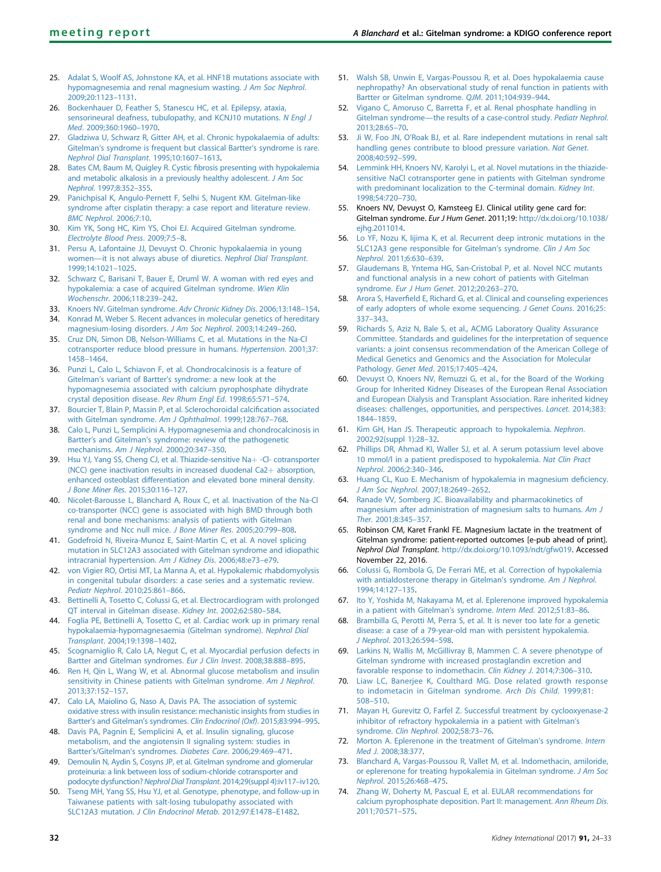- <span id="page-8-0"></span>25. [Adalat S, Woolf AS, Johnstone KA, et al. HNF1B mutations associate with](http://refhub.elsevier.com/S0085-2538(16)30602-0/sref25) [hypomagnesemia and renal magnesium wasting.](http://refhub.elsevier.com/S0085-2538(16)30602-0/sref25) J Am Soc Nephrol. [2009;20:1123](http://refhub.elsevier.com/S0085-2538(16)30602-0/sref25)–1131.
- 26. [Bockenhauer D, Feather S, Stanescu HC, et al. Epilepsy, ataxia,](http://refhub.elsevier.com/S0085-2538(16)30602-0/sref26) [sensorineural deafness, tubulopathy, and KCNJ10 mutations.](http://refhub.elsevier.com/S0085-2538(16)30602-0/sref26) N Engl J Med[. 2009;360:1960](http://refhub.elsevier.com/S0085-2538(16)30602-0/sref26)–1970.
- 27. [Gladziwa U, Schwarz R, Gitter AH, et al. Chronic hypokalaemia of adults:](http://refhub.elsevier.com/S0085-2538(16)30602-0/sref27) Gitelman'[s syndrome is frequent but classical Bartter](http://refhub.elsevier.com/S0085-2538(16)30602-0/sref27)'s syndrome is rare. [Nephrol Dial Transplant](http://refhub.elsevier.com/S0085-2538(16)30602-0/sref27). 1995;10:1607–1613.
- [Bates CM, Baum M, Quigley R. Cystic](http://refhub.elsevier.com/S0085-2538(16)30602-0/sref28) fibrosis presenting with hypokalemia [and metabolic alkalosis in a previously healthy adolescent.](http://refhub.elsevier.com/S0085-2538(16)30602-0/sref28) J Am Soc Nephrol[. 1997;8:352](http://refhub.elsevier.com/S0085-2538(16)30602-0/sref28)–355.
- 29. [Panichpisal K, Angulo-Pernett F, Selhi S, Nugent KM. Gitelman-like](http://refhub.elsevier.com/S0085-2538(16)30602-0/sref29) [syndrome after cisplatin therapy: a case report and literature review.](http://refhub.elsevier.com/S0085-2538(16)30602-0/sref29) [BMC Nephrol](http://refhub.elsevier.com/S0085-2538(16)30602-0/sref29). 2006;7:10.
- 30. [Kim YK, Song HC, Kim YS, Choi EJ. Acquired Gitelman syndrome.](http://refhub.elsevier.com/S0085-2538(16)30602-0/sref30) [Electrolyte Blood Press](http://refhub.elsevier.com/S0085-2538(16)30602-0/sref30). 2009;7:5–8.
- 31. [Persu A, Lafontaine JJ, Devuyst O. Chronic hypokalaemia in young](http://refhub.elsevier.com/S0085-2538(16)30602-0/sref31) women—[it is not always abuse of diuretics.](http://refhub.elsevier.com/S0085-2538(16)30602-0/sref31) Nephrol Dial Transplant. [1999;14:1021](http://refhub.elsevier.com/S0085-2538(16)30602-0/sref31)–1025.
- 32. [Schwarz C, Barisani T, Bauer E, Druml W. A woman with red eyes and](http://refhub.elsevier.com/S0085-2538(16)30602-0/sref32) [hypokalemia: a case of acquired Gitelman syndrome.](http://refhub.elsevier.com/S0085-2538(16)30602-0/sref32) Wien Klin Wochenschr[. 2006;118:239](http://refhub.elsevier.com/S0085-2538(16)30602-0/sref32)–242.
- 33. [Knoers NV. Gitelman syndrome.](http://refhub.elsevier.com/S0085-2538(16)30602-0/sref33) Adv Chronic Kidney Dis. 2006;13:148–154.
- 34. [Konrad M, Weber S. Recent advances in molecular genetics of hereditary](http://refhub.elsevier.com/S0085-2538(16)30602-0/sref34) [magnesium-losing disorders.](http://refhub.elsevier.com/S0085-2538(16)30602-0/sref34) J Am Soc Nephrol. 2003;14:249–260.
- 35. [Cruz DN, Simon DB, Nelson-Williams C, et al. Mutations in the Na-Cl](http://refhub.elsevier.com/S0085-2538(16)30602-0/sref35) [cotransporter reduce blood pressure in humans.](http://refhub.elsevier.com/S0085-2538(16)30602-0/sref35) Hypertension. 2001;37: 1458–[1464](http://refhub.elsevier.com/S0085-2538(16)30602-0/sref35).
- 36. [Punzi L, Calo L, Schiavon F, et al. Chondrocalcinosis is a feature of](http://refhub.elsevier.com/S0085-2538(16)30602-0/sref36) Gitelman's variant of Bartter'[s syndrome: a new look at the](http://refhub.elsevier.com/S0085-2538(16)30602-0/sref36) [hypomagnesemia associated with calcium pyrophosphate dihydrate](http://refhub.elsevier.com/S0085-2538(16)30602-0/sref36) [crystal deposition disease.](http://refhub.elsevier.com/S0085-2538(16)30602-0/sref36) Rev Rhum Engl Ed. 1998;65:571–574.
- 37. [Bourcier T, Blain P, Massin P, et al. Sclerochoroidal calci](http://refhub.elsevier.com/S0085-2538(16)30602-0/sref37)fication associated [with Gitelman syndrome.](http://refhub.elsevier.com/S0085-2538(16)30602-0/sref37) Am J Ophthalmol. 1999;128:767–768.
- 38. [Calo L, Punzi L, Semplicini A. Hypomagnesemia and chondrocalcinosis in](http://refhub.elsevier.com/S0085-2538(16)30602-0/sref38) Bartter's and Gitelman'[s syndrome: review of the pathogenetic](http://refhub.elsevier.com/S0085-2538(16)30602-0/sref38) mechanisms. [Am J Nephrol](http://refhub.elsevier.com/S0085-2538(16)30602-0/sref38). 2000;20:347–350.
- 39. [Hsu YJ, Yang SS, Cheng CJ, et al. Thiazide-sensitive Na](http://refhub.elsevier.com/S0085-2538(16)30602-0/sref39)+ [-Cl- cotransporter](http://refhub.elsevier.com/S0085-2538(16)30602-0/sref39) (NCC) gene inactivation results in increased duodenal  $Ca2+$  [absorption,](http://refhub.elsevier.com/S0085-2538(16)30602-0/sref39) [enhanced osteoblast differentiation and elevated bone mineral density.](http://refhub.elsevier.com/S0085-2538(16)30602-0/sref39) [J Bone Miner Res](http://refhub.elsevier.com/S0085-2538(16)30602-0/sref39). 2015;30:116–127.
- 40. [Nicolet-Barousse L, Blanchard A, Roux C, et al. Inactivation of the Na-Cl](http://refhub.elsevier.com/S0085-2538(16)30602-0/sref40) [co-transporter \(NCC\) gene is associated with high BMD through both](http://refhub.elsevier.com/S0085-2538(16)30602-0/sref40) [renal and bone mechanisms: analysis of patients with Gitelman](http://refhub.elsevier.com/S0085-2538(16)30602-0/sref40) [syndrome and Ncc null mice.](http://refhub.elsevier.com/S0085-2538(16)30602-0/sref40) J Bone Miner Res. 2005;20:799-808.
- 41. [Godefroid N, Riveira-Munoz E, Saint-Martin C, et al. A novel splicing](http://refhub.elsevier.com/S0085-2538(16)30602-0/sref41) [mutation in SLC12A3 associated with Gitelman syndrome and idiopathic](http://refhub.elsevier.com/S0085-2538(16)30602-0/sref41) [intracranial hypertension.](http://refhub.elsevier.com/S0085-2538(16)30602-0/sref41) Am J Kidney Dis. 2006;48:e73–e79.
- 42. [von Vigier RO, Ortisi MT, La Manna A, et al. Hypokalemic rhabdomyolysis](http://refhub.elsevier.com/S0085-2538(16)30602-0/sref42) [in congenital tubular disorders: a case series and a systematic review.](http://refhub.elsevier.com/S0085-2538(16)30602-0/sref42) [Pediatr Nephrol](http://refhub.elsevier.com/S0085-2538(16)30602-0/sref42). 2010;25:861–866.
- 43. [Bettinelli A, Tosetto C, Colussi G, et al. Electrocardiogram with prolonged](http://refhub.elsevier.com/S0085-2538(16)30602-0/sref43) [QT interval in Gitelman disease.](http://refhub.elsevier.com/S0085-2538(16)30602-0/sref43) Kidney Int. 2002;62:580–584.
- 44. [Foglia PE, Bettinelli A, Tosetto C, et al. Cardiac work up in primary renal](http://refhub.elsevier.com/S0085-2538(16)30602-0/sref44) [hypokalaemia-hypomagnesaemia \(Gitelman syndrome\).](http://refhub.elsevier.com/S0085-2538(16)30602-0/sref44) Nephrol Dial Transplant[. 2004;19:1398](http://refhub.elsevier.com/S0085-2538(16)30602-0/sref44)–1402.
- 45. [Scognamiglio R, Calo LA, Negut C, et al. Myocardial perfusion defects in](http://refhub.elsevier.com/S0085-2538(16)30602-0/sref45) [Bartter and Gitelman syndromes.](http://refhub.elsevier.com/S0085-2538(16)30602-0/sref45) Eur J Clin Invest. 2008;38:888–895.
- [Ren H, Qin L, Wang W, et al. Abnormal glucose metabolism and insulin](http://refhub.elsevier.com/S0085-2538(16)30602-0/sref46) [sensitivity in Chinese patients with Gitelman syndrome.](http://refhub.elsevier.com/S0085-2538(16)30602-0/sref46) Am J Nephrol. [2013;37:152](http://refhub.elsevier.com/S0085-2538(16)30602-0/sref46)–157.
- 47. [Calo LA, Maiolino G, Naso A, Davis PA. The association of systemic](http://refhub.elsevier.com/S0085-2538(16)30602-0/sref47) [oxidative stress with insulin resistance: mechanistic insights from studies in](http://refhub.elsevier.com/S0085-2538(16)30602-0/sref47) Bartter's and Gitelman's syndromes. [Clin Endocrinol \(Oxf\)](http://refhub.elsevier.com/S0085-2538(16)30602-0/sref47). 2015;83:994–995.
- 48. [Davis PA, Pagnin E, Semplicini A, et al. Insulin signaling, glucose](http://refhub.elsevier.com/S0085-2538(16)30602-0/sref48) [metabolism, and the angiotensin II signaling system: studies in](http://refhub.elsevier.com/S0085-2538(16)30602-0/sref48) Bartter's/Gitelman's syndromes. [Diabetes Care](http://refhub.elsevier.com/S0085-2538(16)30602-0/sref48). 2006;29:469–471.
- [Demoulin N, Aydin S, Cosyns JP, et al. Gitelman syndrome and glomerular](http://refhub.elsevier.com/S0085-2538(16)30602-0/sref49) proteinuria: a link between loss of [sodium-chloride cotransporter and](http://refhub.elsevier.com/S0085-2538(16)30602-0/sref49) podocyte dysfunction? Nephrol Dial Transplant[. 2014;29\(suppl 4\):iv117](http://refhub.elsevier.com/S0085-2538(16)30602-0/sref49)–iv120.
- 50. [Tseng MH, Yang SS, Hsu YJ, et al. Genotype, phenotype, and follow-up in](http://refhub.elsevier.com/S0085-2538(16)30602-0/sref50) [Taiwanese patients with salt-losing tubulopathy associated with](http://refhub.elsevier.com/S0085-2538(16)30602-0/sref50) SLC12A3 mutation. [J Clin Endocrinol Metab](http://refhub.elsevier.com/S0085-2538(16)30602-0/sref50). 2012;97:E1478–E1482.
- 51. [Walsh SB, Unwin E, Vargas-Poussou R, et al. Does hypokalaemia cause](http://refhub.elsevier.com/S0085-2538(16)30602-0/sref51) [nephropathy? An observational study of renal function in patients with](http://refhub.elsevier.com/S0085-2538(16)30602-0/sref51) [Bartter or Gitelman syndrome.](http://refhub.elsevier.com/S0085-2538(16)30602-0/sref51) QJM. 2011;104:939–944.
- 52. [Vigano C, Amoruso C, Barretta F, et al. Renal phosphate handling in](http://refhub.elsevier.com/S0085-2538(16)30602-0/sref52) Gitelman syndrome—[the results of a case-control study.](http://refhub.elsevier.com/S0085-2538(16)30602-0/sref52) Pediatr Nephrol. [2013;28:65](http://refhub.elsevier.com/S0085-2538(16)30602-0/sref52)–70.
- 53. Ji W, Foo JN, O'[Roak BJ, et al. Rare independent mutations in renal salt](http://refhub.elsevier.com/S0085-2538(16)30602-0/sref53) [handling genes contribute to blood pressure variation.](http://refhub.elsevier.com/S0085-2538(16)30602-0/sref53) Nat Genet. [2008;40:592](http://refhub.elsevier.com/S0085-2538(16)30602-0/sref53)–599.
- 54. [Lemmink HH, Knoers NV, Karolyi L, et al. Novel mutations in the thiazide](http://refhub.elsevier.com/S0085-2538(16)30602-0/sref54)[sensitive NaCl cotransporter gene in patients with Gitelman syndrome](http://refhub.elsevier.com/S0085-2538(16)30602-0/sref54) [with predominant localization to the C-terminal domain.](http://refhub.elsevier.com/S0085-2538(16)30602-0/sref54) Kidney Int. [1998;54:720](http://refhub.elsevier.com/S0085-2538(16)30602-0/sref54)–730.
- 55. Knoers NV, Devuyst O, Kamsteeg EJ. Clinical utility gene card for: Gitelman syndrome. Eur J Hum Genet. 2011;19: [http://dx.doi.org/10.1038/](http://dx.doi.org/10.1038/ejhg.2011014) [ejhg.2011014](http://dx.doi.org/10.1038/ejhg.2011014).
- 56. [Lo YF, Nozu K, Iijima K, et al. Recurrent deep intronic mutations in the](http://refhub.elsevier.com/S0085-2538(16)30602-0/sref56) [SLC12A3 gene responsible for Gitelman](http://refhub.elsevier.com/S0085-2538(16)30602-0/sref56)'s syndrome. Clin J Am Soc Nephrol[. 2011;6:630](http://refhub.elsevier.com/S0085-2538(16)30602-0/sref56)–639.
- 57. [Glaudemans B, Yntema HG, San-Cristobal P, et al. Novel NCC mutants](http://refhub.elsevier.com/S0085-2538(16)30602-0/sref57) [and functional analysis in a new cohort of patients with Gitelman](http://refhub.elsevier.com/S0085-2538(16)30602-0/sref57) syndrome. [Eur J Hum Genet](http://refhub.elsevier.com/S0085-2538(16)30602-0/sref57). 2012;20:263–270.
- 58. Arora S, Haverfi[eld E, Richard G, et al. Clinical and counseling experiences](http://refhub.elsevier.com/S0085-2538(16)30602-0/sref58) [of early adopters of whole exome sequencing.](http://refhub.elsevier.com/S0085-2538(16)30602-0/sref58) J Genet Couns. 2016;25: 337–[343](http://refhub.elsevier.com/S0085-2538(16)30602-0/sref58).
- 59. [Richards S, Aziz N, Bale S, et al., ACMG Laboratory Quality Assurance](http://refhub.elsevier.com/S0085-2538(16)30602-0/sref59) [Committee. Standards and guidelines for the interpretation of sequence](http://refhub.elsevier.com/S0085-2538(16)30602-0/sref59) [variants: a joint consensus recommendation of the American College of](http://refhub.elsevier.com/S0085-2538(16)30602-0/sref59) [Medical Genetics and Genomics and the Association for Molecular](http://refhub.elsevier.com/S0085-2538(16)30602-0/sref59) Pathology. Genet Med[. 2015;17:405](http://refhub.elsevier.com/S0085-2538(16)30602-0/sref59)–424.
- 60. [Devuyst O, Knoers NV, Remuzzi G, et al., for the Board of the Working](http://refhub.elsevier.com/S0085-2538(16)30602-0/sref60) [Group for Inherited Kidney Diseases of the European Renal Association](http://refhub.elsevier.com/S0085-2538(16)30602-0/sref60) [and European Dialysis and Transplant Association. Rare inherited kidney](http://refhub.elsevier.com/S0085-2538(16)30602-0/sref60) [diseases: challenges, opportunities, and perspectives.](http://refhub.elsevier.com/S0085-2538(16)30602-0/sref60) Lancet. 2014;383: 1844–[1859.](http://refhub.elsevier.com/S0085-2538(16)30602-0/sref60)
- 61. [Kim GH, Han JS. Therapeutic approach to hypokalemia.](http://refhub.elsevier.com/S0085-2538(16)30602-0/sref61) Nephron. [2002;92\(suppl 1\):28](http://refhub.elsevier.com/S0085-2538(16)30602-0/sref61)–32.
- 62. [Phillips DR, Ahmad KI, Waller SJ, et al. A serum potassium level above](http://refhub.elsevier.com/S0085-2538(16)30602-0/sref62) [10 mmol/l in a patient predisposed to hypokalemia.](http://refhub.elsevier.com/S0085-2538(16)30602-0/sref62) Nat Clin Pract Nephrol[. 2006;2:340](http://refhub.elsevier.com/S0085-2538(16)30602-0/sref62)–346.
- 63. [Huang CL, Kuo E. Mechanism of hypokalemia in magnesium de](http://refhub.elsevier.com/S0085-2538(16)30602-0/sref63)ficiency. [J Am Soc Nephrol](http://refhub.elsevier.com/S0085-2538(16)30602-0/sref63). 2007;18:2649–2652.
- 64. [Ranade VV, Somberg JC. Bioavailability and pharmacokinetics of](http://refhub.elsevier.com/S0085-2538(16)30602-0/sref64) [magnesium after administration of magnesium salts to humans.](http://refhub.elsevier.com/S0085-2538(16)30602-0/sref64) Am J Ther[. 2001;8:345](http://refhub.elsevier.com/S0085-2538(16)30602-0/sref64)–357.
- 65. Robinson CM, Karet Frankl FE. Magnesium lactate in the treatment of Gitelman syndrome: patient-reported outcomes [e-pub ahead of print]. Nephrol Dial Transplant. [http://dx.doi.org/10.1093/ndt/gfw019.](http://dx.doi.org/10.1093/ndt/gfw019) Accessed November 22, 2016.
- 66. [Colussi G, Rombola G, De Ferrari ME, et al. Correction of hypokalemia](http://refhub.elsevier.com/S0085-2538(16)30602-0/sref66) [with antialdosterone therapy in Gitelman](http://refhub.elsevier.com/S0085-2538(16)30602-0/sref66)'s syndrome. Am J Nephrol. [1994;14:127](http://refhub.elsevier.com/S0085-2538(16)30602-0/sref66)–135.
- 67. [Ito Y, Yoshida M, Nakayama M, et al. Eplerenone improved hypokalemia](http://refhub.elsevier.com/S0085-2538(16)30602-0/sref67) [in a patient with Gitelman](http://refhub.elsevier.com/S0085-2538(16)30602-0/sref67)'s syndrome. Intern Med. 2012;51:83–86.
- 68. [Brambilla G, Perotti M, Perra S, et al. It is never too late for a genetic](http://refhub.elsevier.com/S0085-2538(16)30602-0/sref68) [disease: a case of a 79-year-old man with persistent hypokalemia.](http://refhub.elsevier.com/S0085-2538(16)30602-0/sref68) J Nephrol[. 2013;26:594](http://refhub.elsevier.com/S0085-2538(16)30602-0/sref68)–598.
- 69. [Larkins N, Wallis M, McGillivray B, Mammen C. A severe phenotype of](http://refhub.elsevier.com/S0085-2538(16)30602-0/sref69) [Gitelman syndrome with increased prostaglandin excretion and](http://refhub.elsevier.com/S0085-2538(16)30602-0/sref69) [favorable response to indomethacin.](http://refhub.elsevier.com/S0085-2538(16)30602-0/sref69) Clin Kidney J. 2014;7:306–310.
- 70. [Liaw LC, Banerjee K, Coulthard MG. Dose related growth response](http://refhub.elsevier.com/S0085-2538(16)30602-0/sref70) [to indometacin in Gitelman syndrome.](http://refhub.elsevier.com/S0085-2538(16)30602-0/sref70) Arch Dis Child. 1999;81: 508–[510](http://refhub.elsevier.com/S0085-2538(16)30602-0/sref70).
- 71. [Mayan H, Gurevitz O, Farfel Z. Successful treatment by cyclooxyenase-2](http://refhub.elsevier.com/S0085-2538(16)30602-0/sref71) [inhibitor of refractory hypokalemia in a patient with Gitelman](http://refhub.elsevier.com/S0085-2538(16)30602-0/sref71)'s syndrome. [Clin Nephrol](http://refhub.elsevier.com/S0085-2538(16)30602-0/sref71). 2002;58:73–76.
- 72. [Morton A. Eplerenone in the treatment of Gitelman](http://refhub.elsevier.com/S0085-2538(16)30602-0/sref72)'s syndrome. Intern Med J[. 2008;38:377.](http://refhub.elsevier.com/S0085-2538(16)30602-0/sref72)
- 73. [Blanchard A, Vargas-Poussou R, Vallet M, et al. Indomethacin, amiloride,](http://refhub.elsevier.com/S0085-2538(16)30602-0/sref73) [or eplerenone for treating hypokalemia in Gitelman syndrome.](http://refhub.elsevier.com/S0085-2538(16)30602-0/sref73) J Am Soc Nephrol[. 2015;26:468](http://refhub.elsevier.com/S0085-2538(16)30602-0/sref73)–475.
- 74. [Zhang W, Doherty M, Pascual E, et al. EULAR recommendations for](http://refhub.elsevier.com/S0085-2538(16)30602-0/sref74) [calcium pyrophosphate deposition. Part II: management.](http://refhub.elsevier.com/S0085-2538(16)30602-0/sref74) Ann Rheum Dis. [2011;70:571](http://refhub.elsevier.com/S0085-2538(16)30602-0/sref74)–575.